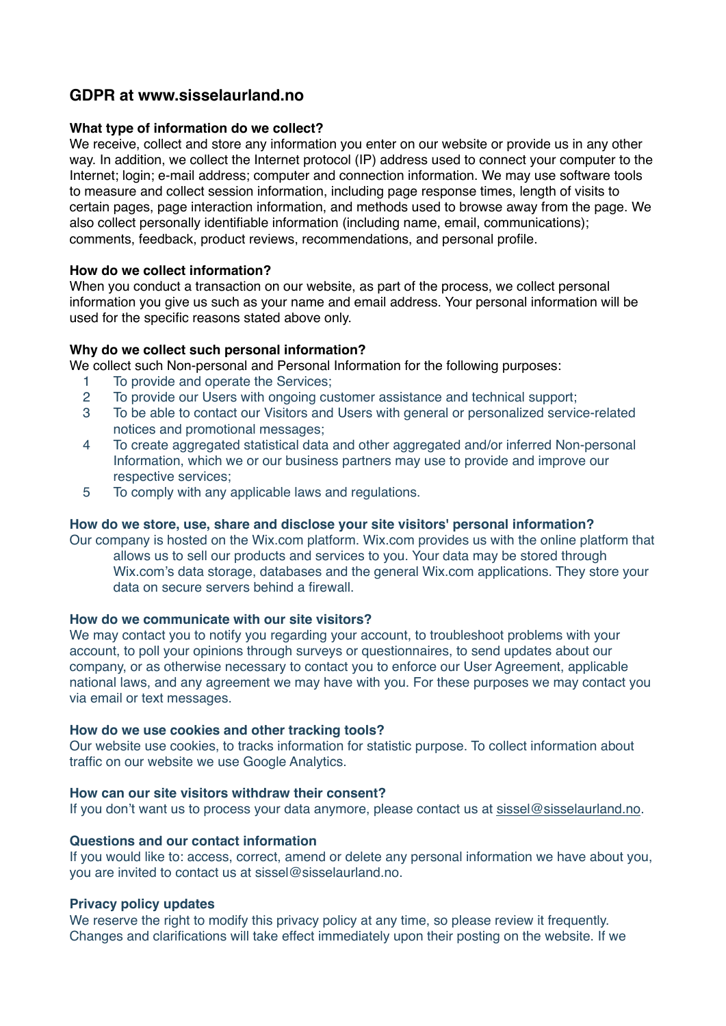# **GDPR at www.sisselaurland.no**

# **What type of information do we collect?**

We receive, collect and store any information you enter on our website or provide us in any other way. In addition, we collect the Internet protocol (IP) address used to connect your computer to the Internet; login; e-mail address; computer and connection information. We may use software tools to measure and collect session information, including page response times, length of visits to certain pages, page interaction information, and methods used to browse away from the page. We also collect personally identifiable information (including name, email, communications); comments, feedback, product reviews, recommendations, and personal profile.

# **How do we collect information?**

When you conduct a transaction on our website, as part of the process, we collect personal information you give us such as your name and email address. Your personal information will be used for the specific reasons stated above only.

# **Why do we collect such personal information?**

We collect such Non-personal and Personal Information for the following purposes:

- 1 To provide and operate the Services;
- 2 To provide our Users with ongoing customer assistance and technical support;
- 3 To be able to contact our Visitors and Users with general or personalized service-related notices and promotional messages;
- 4 To create aggregated statistical data and other aggregated and/or inferred Non-personal Information, which we or our business partners may use to provide and improve our respective services;
- 5 To comply with any applicable laws and regulations.

## **How do we store, use, share and disclose your site visitors' personal information?**

Our company is hosted on the Wix.com platform. Wix.com provides us with the online platform that allows us to sell our products and services to you. Your data may be stored through Wix.com's data storage, databases and the general Wix.com applications. They store your data on secure servers behind a firewall.

## **How do we communicate with our site visitors?**

We may contact you to notify you regarding your account, to troubleshoot problems with your account, to poll your opinions through surveys or questionnaires, to send updates about our company, or as otherwise necessary to contact you to enforce our User Agreement, applicable national laws, and any agreement we may have with you. For these purposes we may contact you via email or text messages.

## **How do we use cookies and other tracking tools?**

Our website use cookies, to tracks information for statistic purpose. To collect information about traffic on our website we use Google Analytics.

# **How can our site visitors withdraw their consent?**

If you don't want us to process your data anymore, please contact us at [sissel@sisselaurland.no](mailto:sissel@sisselaurland.no).

#### **Questions and our contact information**

If you would like to: access, correct, amend or delete any personal information we have about you, you are invited to contact us at sissel@sisselaurland.no.

#### **Privacy policy updates**

We reserve the right to modify this privacy policy at any time, so please review it frequently. Changes and clarifications will take effect immediately upon their posting on the website. If we